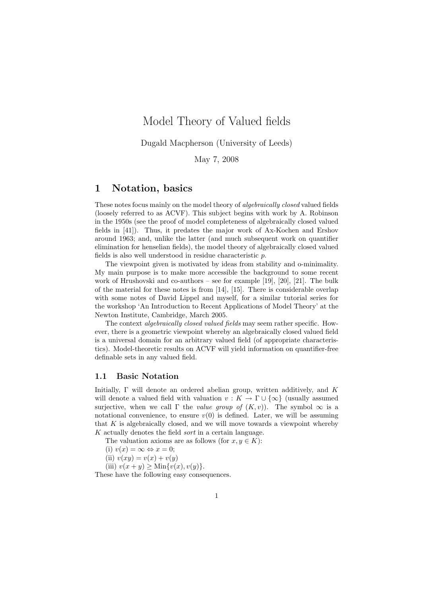# Model Theory of Valued fields

Dugald Macpherson (University of Leeds)

May 7, 2008

# 1 Notation, basics

These notes focus mainly on the model theory of algebraically closed valued fields (loosely referred to as ACVF). This subject begins with work by A. Robinson in the 1950s (see the proof of model completeness of algebraically closed valued fields in [41]). Thus, it predates the major work of Ax-Kochen and Ershov around 1963; and, unlike the latter (and much subsequent work on quantifier elimination for henselian fields), the model theory of algebraically closed valued fields is also well understood in residue characteristic p.

The viewpoint given is motivated by ideas from stability and o-minimality. My main purpose is to make more accessible the background to some recent work of Hrushovski and co-authors – see for example [19], [20], [21]. The bulk of the material for these notes is from [14], [15]. There is considerable overlap with some notes of David Lippel and myself, for a similar tutorial series for the workshop 'An Introduction to Recent Applications of Model Theory' at the Newton Institute, Cambridge, March 2005.

The context algebraically closed valued fields may seem rather specific. However, there is a geometric viewpoint whereby an algebraically closed valued field is a universal domain for an arbitrary valued field (of appropriate characteristics). Model-theoretic results on ACVF will yield information on quantifier-free definable sets in any valued field.

## 1.1 Basic Notation

Initially,  $\Gamma$  will denote an ordered abelian group, written additively, and K will denote a valued field with valuation  $v : K \to \Gamma \cup \{\infty\}$  (usually assumed surjective, when we call  $\Gamma$  the value group of  $(K, v)$ ). The symbol  $\infty$  is a notational convenience, to ensure  $v(0)$  is defined. Later, we will be assuming that K is algebraically closed, and we will move towards a viewpoint whereby K actually denotes the field sort in a certain language.

The valuation axioms are as follows (for  $x, y \in K$ ):

- (i)  $v(x) = \infty \Leftrightarrow x = 0;$
- (ii)  $v(xy) = v(x) + v(y)$

(iii)  $v(x + y) \geq \text{Min}\{v(x), v(y)\}.$ 

These have the following easy consequences.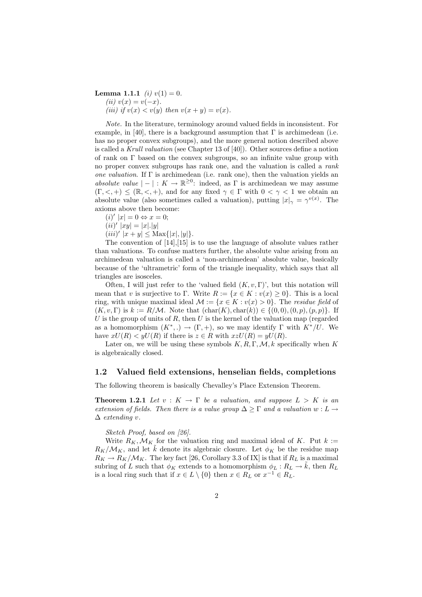**Lemma 1.1.1** (i)  $v(1) = 0$ . (*ii*)  $v(x) = v(-x)$ . (iii) if  $v(x) < v(y)$  then  $v(x + y) = v(x)$ .

Note. In the literature, terminology around valued fields in inconsistent. For example, in [40], there is a background assumption that  $\Gamma$  is archimedean (i.e. has no proper convex subgroups), and the more general notion described above is called a Krull valuation (see Chapter 13 of [40]). Other sources define a notion of rank on Γ based on the convex subgroups, so an infinite value group with no proper convex subgroups has rank one, and the valuation is called a rank one valuation. If Γ is archimedean (i.e. rank one), then the valuation yields an absolute value  $|-|: K \to \mathbb{R}^{\geq 0}$ : indeed, as  $\Gamma$  is archimedean we may assume  $(\Gamma, \leq, +) \leq (\mathbb{R}, \leq, +)$ , and for any fixed  $\gamma \in \Gamma$  with  $0 \leq \gamma \leq 1$  we obtain an absolute value (also sometimes called a valuation), putting  $|x|_{\gamma} = \gamma^{v(x)}$ . The axioms above then become:

 $(i)' |x| = 0 \Leftrightarrow x = 0;$ 

 $(ii)' |xy| = |x|.|y|$ 

 $(iii)' |x + y| \leq \text{Max}\{|x|, |y|\}.$ 

The convention of  $[14], [15]$  is to use the language of absolute values rather than valuations. To confuse matters further, the absolute value arising from an archimedean valuation is called a 'non-archimedean' absolute value, basically because of the 'ultrametric' form of the triangle inequality, which says that all triangles are isosceles.

Often, I will just refer to the 'valued field  $(K, v, \Gamma)$ ', but this notation will mean that v is surjective to Γ. Write  $R := \{x \in K : v(x) \geq 0\}$ . This is a local ring, with unique maximal ideal  $\mathcal{M} := \{x \in K : v(x) > 0\}$ . The residue field of  $(K, v, \Gamma)$  is  $k := R/M$ . Note that  $(\text{char}(K), \text{char}(k)) \in \{(0,0), (0, p), (p, p)\}.$  If U is the group of units of R, then U is the kernel of the valuation map (regarded as a homomorphism  $(K^*,.) \to (\Gamma, +)$ , so we may identify  $\Gamma$  with  $K^*/U$ . We have  $xU(R) < yU(R)$  if there is  $z \in R$  with  $xzU(R) = yU(R)$ .

Later on, we will be using these symbols  $K, R, \Gamma, \mathcal{M}, k$  specifically when K is algebraically closed.

#### 1.2 Valued field extensions, henselian fields, completions

The following theorem is basically Chevalley's Place Extension Theorem.

**Theorem 1.2.1** Let  $v: K \to \Gamma$  be a valuation, and suppose  $L > K$  is an extension of fields. Then there is a value group  $\Delta \geq \Gamma$  and a valuation  $w: L \to$  $\Delta$  extending v.

#### Sketch Proof, based on [26].

Write  $R_K, \mathcal{M}_K$  for the valuation ring and maximal ideal of K. Put  $k :=$  $R_K/M_K$ , and let k denote its algebraic closure. Let  $\phi_K$  be the residue map  $R_K \to R_K/\mathcal{M}_K$ . The key fact [26, Corollary 3.3 of IX] is that if  $R_L$  is a maximal subring of L such that  $\phi_K$  extends to a homomorphism  $\phi_L : R_L \to \tilde{k}$ , then  $R_L$ is a local ring such that if  $x \in L \setminus \{0\}$  then  $x \in R_L$  or  $x^{-1} \in R_L$ .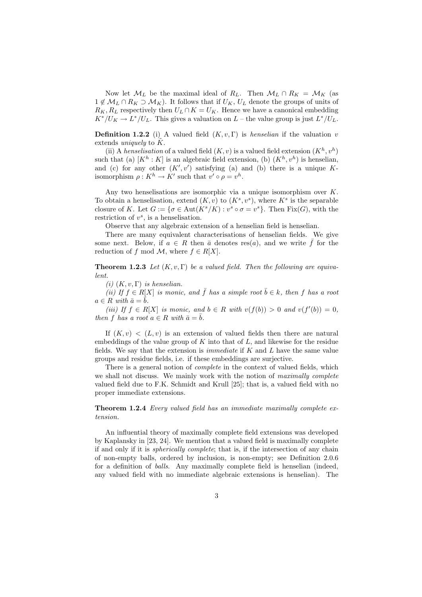Now let  $\mathcal{M}_L$  be the maximal ideal of  $R_L$ . Then  $\mathcal{M}_L \cap R_K = \mathcal{M}_K$  (as  $1 \notin \mathcal{M}_L \cap R_K \supset \mathcal{M}_K$ . It follows that if  $U_K$ ,  $U_L$  denote the groups of units of  $R_K, R_L$  respectively then  $U_L \cap K = U_K$ . Hence we have a canonical embedding  $K^*/U_K \to L^*/U_L$ . This gives a valuation on  $L$  – the value group is just  $L^*/U_L$ .

**Definition 1.2.2** (i) A valued field  $(K, v, \Gamma)$  is *henselian* if the valuation v extends uniquely to  $K$ .

(ii) A henselisation of a valued field  $(K, v)$  is a valued field extension  $(K<sup>h</sup>, v<sup>h</sup>)$ such that (a)  $[K^h : K]$  is an algebraic field extension, (b)  $(K^h, v^h)$  is henselian, and (c) for any other  $(K', v')$  satisfying (a) and (b) there is a unique Kisomorphism  $\rho: K^h \to K'$  such that  $v' \circ \rho = v^h$ .

Any two henselisations are isomorphic via a unique isomorphism over  $K$ . To obtain a henselisation, extend  $(K, v)$  to  $(K^s, v^s)$ , where  $K^s$  is the separable closure of K. Let  $G := \{ \sigma \in \text{Aut}(K^s/K) : v^s \circ \sigma = v^s \}.$  Then  $\text{Fix}(G)$ , with the restriction of  $v^s$ , is a henselisation.

Observe that any algebraic extension of a henselian field is henselian.

There are many equivalent characterisations of henselian fields. We give some next. Below, if  $a \in R$  then  $\bar{a}$  denotes res(a), and we write f for the reduction of f mod  $\mathcal{M}$ , where  $f \in R[X]$ .

**Theorem 1.2.3** Let  $(K, v, \Gamma)$  be a valued field. Then the following are equivalent.

(i)  $(K, v, \Gamma)$  is henselian.

(ii) If  $f \in R[X]$  is monic, and  $\overline{f}$  has a simple root  $\overline{b} \in k$ , then f has a root  $a \in R$  with  $\bar{a} = \bar{b}$ .

(iii) If  $f \in R[X]$  is monic, and  $b \in R$  with  $v(f(b)) > 0$  and  $v(f'(b)) = 0$ , then f has a root  $a \in R$  with  $\bar{a} = \bar{b}$ .

If  $(K, v) < (L, v)$  is an extension of valued fields then there are natural embeddings of the value group of  $K$  into that of  $L$ , and likewise for the residue fields. We say that the extension is *immediate* if  $K$  and  $L$  have the same value groups and residue fields, i.e. if these embeddings are surjective.

There is a general notion of *complete* in the context of valued fields, which we shall not discuss. We mainly work with the notion of maximally complete valued field due to F.K. Schmidt and Krull [25]; that is, a valued field with no proper immediate extensions.

Theorem 1.2.4 Every valued field has an immediate maximally complete extension.

An influential theory of maximally complete field extensions was developed by Kaplansky in [23, 24]. We mention that a valued field is maximally complete if and only if it is spherically complete; that is, if the intersection of any chain of non-empty balls, ordered by inclusion, is non-empty; see Definition 2.0.6 for a definition of balls. Any maximally complete field is henselian (indeed, any valued field with no immediate algebraic extensions is henselian). The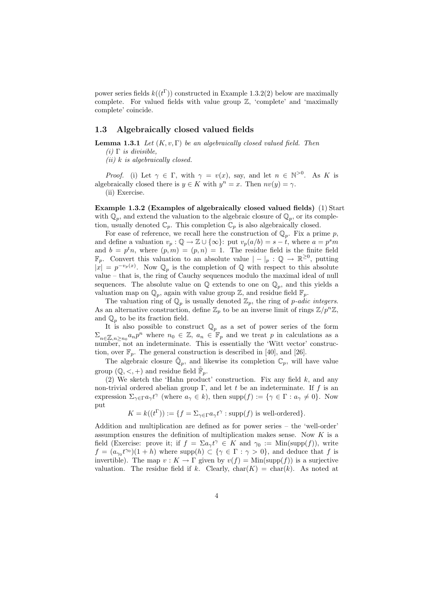power series fields  $k((t^{\Gamma}))$  constructed in Example 1.3.2(2) below are maximally complete. For valued fields with value group  $\mathbb{Z}$ , 'complete' and 'maximally complete' coincide.

### 1.3 Algebraically closed valued fields

**Lemma 1.3.1** Let  $(K, v, \Gamma)$  be an algebraically closed valued field. Then

(i)  $\Gamma$  is divisible,

 $(ii)$  k is algebraically closed.

*Proof.* (i) Let  $\gamma \in \Gamma$ , with  $\gamma = v(x)$ , say, and let  $n \in \mathbb{N}^{>0}$ . As K is algebraically closed there is  $y \in K$  with  $y^n = x$ . Then  $nv(y) = \gamma$ . (ii) Exercise.

Example 1.3.2 (Examples of algebraically closed valued fields) (1) Start with  $\overline{\mathbb{Q}_p}$ , and extend the valuation to the algebraic closure of  $\mathbb{Q}_p$ , or its completion, usually denoted  $\mathbb{C}_p$ . This completion  $\mathbb{C}_p$  is also algebraically closed.

For ease of reference, we recall here the construction of  $\mathbb{Q}_p$ . Fix a prime p, and define a valuation  $v_p : \mathbb{Q} \to \mathbb{Z} \cup \{\infty\}$ : put  $v_p(a/b) = s - t$ , where  $a = p^s m$ and  $b = p<sup>t</sup>n$ , where  $(p, m) = (p, n) = 1$ . The residue field is the finite field  $\mathbb{F}_p$ . Convert this valuation to an absolute value  $| - |_p : \mathbb{Q} \to \mathbb{R}^{\geq 0}$ , putting  $|\mathbf{x}| = p^{-v_p(x)}$ . Now  $\mathbb{Q}_p$  is the completion of  $\mathbb{Q}$  with respect to this absolute value – that is, the ring of Cauchy sequences modulo the maximal ideal of null sequences. The absolute value on  $\mathbb Q$  extends to one on  $\mathbb Q_p$ , and this yields a valuation map on  $\mathbb{Q}_p$ , again with value group  $\mathbb{Z}$ , and residue field  $\mathbb{F}_p$ .

The valuation ring of  $\mathbb{Q}_p$  is usually denoted  $\mathbb{Z}_p$ , the ring of p-adic integers. As an alternative construction, define  $\mathbb{Z}_p$  to be an inverse limit of rings  $\mathbb{Z}/p^n\mathbb{Z}$ , and  $\mathbb{Q}_p$  to be its fraction field.

It is also possible to construct  $\mathbb{Q}_p$  as a set of power series of the form  $\Sigma_{n\in\mathbb{Z},n\geq n_0} a_n p^n$  where  $n_0 \in \mathbb{Z}, a_n \in \mathbb{F}_p$  and we treat p in calculations as a number, not an indeterminate. This is essentially the 'Witt vector' construction, over  $\mathbb{F}_p$ . The general construction is described in [40], and [26].

The algebraic closure  $\tilde{\mathbb{Q}}_p$ , and likewise its completion  $\mathbb{C}_p$ , will have value group  $(\mathbb{Q}, \leq, +)$  and residue field  $\mathbb{F}_p$ .

(2) We sketch the 'Hahn product' construction. Fix any field  $k$ , and any non-trivial ordered abelian group Γ, and let t be an indeterminate. If f is an expression  $\Sigma_{\gamma \in \Gamma} a_{\gamma} t^{\gamma}$  (where  $a_{\gamma} \in k$ ), then  $\text{supp}(f) := \{ \gamma \in \Gamma : a_{\gamma} \neq 0 \}$ . Now put

$$
K = k((t^{\Gamma})) := \{ f = \sum_{\gamma \in \Gamma} a_{\gamma} t^{\gamma} : \text{supp}(f) \text{ is well-ordered} \}.
$$

Addition and multiplication are defined as for power series – the 'well-order' assumption ensures the definition of multiplication makes sense. Now  $K$  is a field (Exercise: prove it; if  $f = \sum a_{\gamma} t^{\gamma} \in K$  and  $\gamma_0 := \text{Min}(\text{supp}(f)),$  write  $f = (a_{\gamma_0}t^{\gamma_0})(1+h)$  where supp $(h) \subset {\gamma \in \Gamma : \gamma > 0}$ , and deduce that f is invertible). The map  $v : K \to \Gamma$  given by  $v(f) = \text{Min}(\text{supp}(f))$  is a surjective valuation. The residue field if k. Clearly,  $char(K) = char(k)$ . As noted at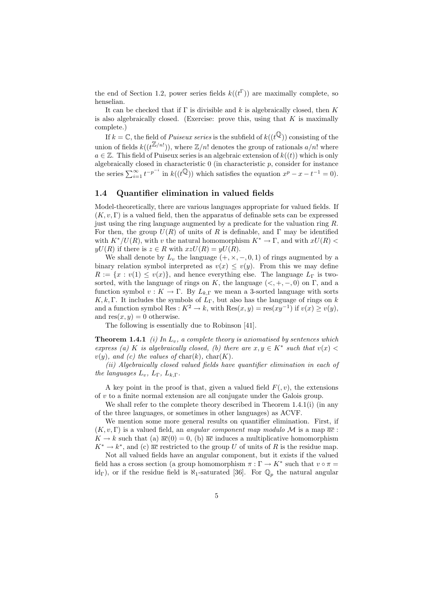the end of Section 1.2, power series fields  $k((t^{\Gamma}))$  are maximally complete, so henselian.

It can be checked that if  $\Gamma$  is divisible and k is algebraically closed, then K is also algebraically closed. (Exercise: prove this, using that  $K$  is maximally complete.)

If  $k = \mathbb{C}$ , the field of *Puiseux series* is the subfield of  $k((t^{\mathbb{Q}}))$  consisting of the union of fields  $k((t^{\mathbb{Z}/n!}))$ , where  $\mathbb{Z}/n!$  denotes the group of rationals  $a/n!$  where  $a \in \mathbb{Z}$ . This field of Puiseux series is an algebraic extension of  $k((t))$  which is only algebraically closed in characteristic  $0$  (in characteristic  $p$ , consider for instance the series  $\sum_{i=1}^{\infty} t^{-p^{-i}}$  in  $k((t^{\mathbb{Q}}))$  which satisfies the equation  $x^p - x - t^{-1} = 0$ ).

### 1.4 Quantifier elimination in valued fields

Model-theoretically, there are various languages appropriate for valued fields. If  $(K, v, \Gamma)$  is a valued field, then the apparatus of definable sets can be expressed just using the ring language augmented by a predicate for the valuation ring  $R$ . For then, the group  $U(R)$  of units of R is definable, and  $\Gamma$  may be identified with  $K^*/U(R)$ , with v the natural homomorphism  $K^* \to \Gamma$ , and with  $xU(R)$  $yU(R)$  if there is  $z \in R$  with  $xzU(R) = yU(R)$ .

We shall denote by  $L_v$  the language  $(+, \times, -, 0, 1)$  of rings augmented by a binary relation symbol interpreted as  $v(x) \leq v(y)$ . From this we may define  $R := \{x : v(1) \le v(x)\}\$ , and hence everything else. The language  $L_{\Gamma}$  is twosorted, with the language of rings on K, the language  $(<, +, -, 0)$  on  $\Gamma$ , and a function symbol  $v: K \to \Gamma$ . By  $L_{k,\Gamma}$  we mean a 3-sorted language with sorts K, k, Γ. It includes the symbols of  $L_{\Gamma}$ , but also has the language of rings on k and a function symbol Res :  $K^2 \to k$ , with  $\text{Res}(x, y) = \text{res}(xy^{-1})$  if  $v(x) \ge v(y)$ , and  $res(x, y) = 0$  otherwise.

The following is essentially due to Robinson [41].

**Theorem 1.4.1** (i) In  $L_v$ , a complete theory is axiomatised by sentences which express (a) K is algebraically closed, (b) there are  $x, y \in K^*$  such that  $v(x)$  $v(y)$ , and (c) the values of char(k), char(K).

(ii) Algebraically closed valued fields have quantifier elimination in each of the languages  $L_v$ ,  $L_\Gamma$ ,  $L_{k,\Gamma}$ .

A key point in the proof is that, given a valued field  $F(x)$ , the extensions of v to a finite normal extension are all conjugate under the Galois group.

We shall refer to the complete theory described in Theorem 1.4.1(i) (in any of the three languages, or sometimes in other languages) as ACVF.

We mention some more general results on quantifier elimination. First, if  $(K, v, \Gamma)$  is a valued field, an *angular component map modulo M* is a map  $\overline{ac}$ :  $K \to k$  such that (a)  $\overline{ac}(0) = 0$ , (b)  $\overline{ac}$  induces a multiplicative homomorphism  $K^* \to k^*$ , and (c)  $\overline{ac}$  restricted to the group U of units of R is the residue map.

Not all valued fields have an angular component, but it exists if the valued field has a cross section (a group homomorphism  $\pi : \Gamma \to K^*$  such that  $v \circ \pi =$ id<sub>Γ</sub>), or if the residue field is  $\aleph_1$ -saturated [36]. For  $\mathbb{Q}_p$  the natural angular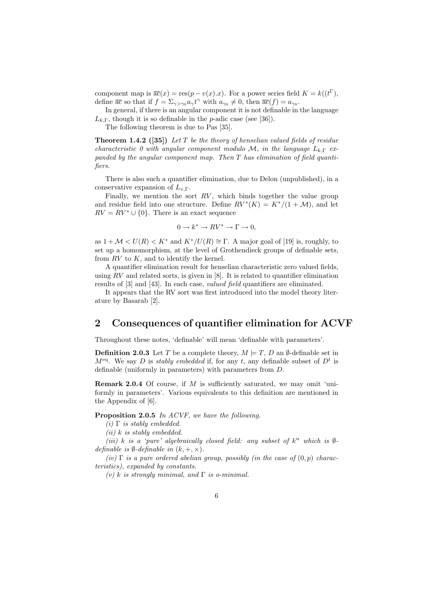component map is  $\overline{ac}(x) = \text{res}(p - v(x).x)$ . For a power series field  $K = k((t^{\Gamma}),$ define  $\overline{ac}$  so that if  $f = \sum_{\gamma > \gamma_0} a_{\gamma} t^{\gamma}$  with  $a_{\gamma_0} \neq 0$ , then  $\overline{ac}(f) = a_{\gamma_0}$ .

In general, if there is an angular component it is not definable in the language  $L_{k,\Gamma}$ , though it is so definable in the *p*-adic case (see [36]).

The following theorem is due to Pas [35].

**Theorem 1.4.2** ([35]) Let T be the theory of henselian valued fields of residue characteristic 0 with angular component modulo M, in the language  $L_{k,\Gamma}$  expanded by the angular component map. Then  $T$  has elimination of field quantifiers.

There is also such a quantifier elimination, due to Delon (unpublished), in a conservative expansion of  $L_{v,\Gamma}$ .

Finally, we mention the sort  $RV$ , which binds together the value group and residue field into one structure. Define  $RV^{*}(K) = K^{*}/(1 + \mathcal{M})$ , and let  $RV = RV^* \cup \{0\}$ . There is an exact sequence

$$
0 \to k^* \to RV^* \to \Gamma \to 0,
$$

as  $1 + \mathcal{M} < U(R) < K^*$  and  $K^*/U(R) \cong \Gamma$ . A major goal of [19] is, roughly, to set up a homomorphism, at the level of Grothendieck groups of definable sets, from  $RV$  to  $K$ , and to identify the kernel.

A quantifier elimination result for henselian characteristic zero valued fields, using  $RV$  and related sorts, is given in [8]. It is related to quantifier elimination results of [3] and [43]. In each case, valued field quantifiers are eliminated.

It appears that the RV sort was first introduced into the model theory literature by Basarab [2].

# 2 Consequences of quantifier elimination for ACVF

Throughout these notes, 'definable' will mean 'definable with parameters'.

**Definition 2.0.3** Let T be a complete theory,  $M \models T, D$  an  $\emptyset$ -definable set in  $M<sup>eq</sup>$ . We say D is *stably embedded* if, for any t, any definable subset of  $D<sup>t</sup>$  is definable (uniformly in parameters) with parameters from D.

Remark 2.0.4 Of course, if M is sufficiently saturated, we may omit 'uniformly in parameters'. Various equivalents to this definition are mentioned in the Appendix of [6].

#### Proposition 2.0.5 In ACVF, we have the following.

(i)  $\Gamma$  is stably embedded.

 $(ii)$  k is stably embedded.

(iii) k is a 'pure' algebraically closed field: any subset of  $k^n$  which is  $\emptyset$ definable is  $\emptyset$ -definable in  $(k, +, \times)$ .

(iv)  $\Gamma$  is a pure ordered abelian group, possibly (in the case of  $(0, p)$  characteristics), expanded by constants.

(v) k is strongly minimal, and  $\Gamma$  is o-minimal.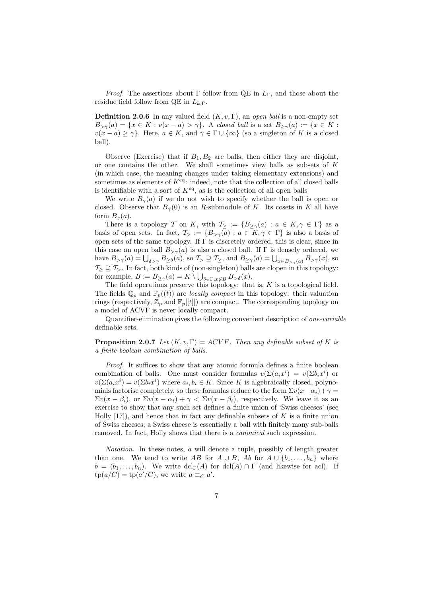*Proof.* The assertions about Γ follow from QE in  $L_{\Gamma}$ , and those about the residue field follow from QE in  $L_{k,\Gamma}$ .

**Definition 2.0.6** In any valued field  $(K, v, \Gamma)$ , an open ball is a non-empty set  $B_{\geq \gamma}(a) = \{x \in K : v(x - a) > \gamma\}.$  A closed ball is a set  $B_{\geq \gamma}(a) := \{x \in K : v(x - a) > \gamma\}.$  $v(x - a) \ge \gamma$ . Here,  $a \in K$ , and  $\gamma \in \Gamma \cup \{\infty\}$  (so a singleton of K is a closed ball).

Observe (Exercise) that if  $B_1, B_2$  are balls, then either they are disjoint, or one contains the other. We shall sometimes view balls as subsets of K (in which case, the meaning changes under taking elementary extensions) and sometimes as elements of  $K<sup>eq</sup>$ : indeed, note that the collection of all closed balls is identifiable with a sort of  $K^{\text{eq}}$ , as is the collection of all open balls

We write  $B_{\gamma}(a)$  if we do not wish to specify whether the ball is open or closed. Observe that  $B_{\gamma}(0)$  is an R-submodule of K. Its cosets in K all have form  $B_{\gamma}(a)$ .

There is a topology T on K, with  $\mathcal{T}_{\geq} := \{ B_{\geq \gamma}(a) : a \in K, \gamma \in \Gamma \}$  as a basis of open sets. In fact,  $\mathcal{T}_{>} := \{B_{>\gamma}(a) : a \in K, \gamma \in \Gamma\}$  is also a basis of open sets of the same topology. If Γ is discretely ordered, this is clear, since in this case an open ball  $B_{>\gamma}(a)$  is also a closed ball. If  $\Gamma$  is densely ordered, we have  $B_{>\gamma}(a) = \bigcup_{\delta > \gamma} B_{\geq \delta}(a)$ , so  $\mathcal{T}_{>}\supseteq \mathcal{T}_{\geq}$ , and  $B_{\geq \gamma}(a) = \bigcup_{x \in B_{\geq \gamma}(a)} B_{>\gamma}(x)$ , so  $\mathcal{T}_{\geq 0} \supseteq \mathcal{T}_{\geq 0}$ . In fact, both kinds of (non-singleton) balls are clopen in this topology: for example,  $B := B_{\geq \gamma}(a) = K \setminus \bigcup_{\delta \in \Gamma, x \notin B} B_{> \delta}(x)$ .

The field operations preserve this topology: that is,  $K$  is a topological field. The fields  $\mathbb{Q}_p$  and  $\mathbb{F}_p((t))$  are *locally compact* in this topology: their valuation rings (respectively,  $\mathbb{Z}_p$  and  $\mathbb{F}_p[[t]]$ ) are compact. The corresponding topology on a model of ACVF is never locally compact.

Quantifier-elimination gives the following convenient description of one-variable definable sets.

**Proposition 2.0.7** Let  $(K, v, \Gamma) \models ACVF$ . Then any definable subset of K is a finite boolean combination of balls.

Proof. It suffices to show that any atomic formula defines a finite boolean combination of balls. One must consider formulas  $v(\Sigma(a_i x^i) = v(\Sigma b_i x^i)$  or  $v(\Sigma(a_i x^i) = v(\Sigma b_i x^i)$  where  $a_i, b_i \in K$ . Since K is algebraically closed, polynomials factorise completely, so these formulas reduce to the form  $\Sigma v(x-\alpha_i)+\gamma=$  $\Sigma v(x - \beta_i)$ , or  $\Sigma v(x - \alpha_i) + \gamma < \Sigma v(x - \beta_i)$ , respectively. We leave it as an exercise to show that any such set defines a finite union of 'Swiss cheeses' (see Holly  $[17]$ , and hence that in fact any definable subsets of K is a finite union of Swiss cheeses; a Swiss cheese is essentially a ball with finitely many sub-balls removed. In fact, Holly shows that there is a canonical such expression.

Notation. In these notes, a will denote a tuple, possibly of length greater than one. We tend to write AB for  $A \cup B$ , Ab for  $A \cup \{b_1, \ldots, b_n\}$  where  $b = (b_1, \ldots, b_n)$ . We write  $dcl_{\Gamma}(A)$  for  $dcl(A) \cap \Gamma$  (and likewise for acl). If  $tp(a/C) = tp(a'/C)$ , we write  $a \equiv_C a'$ .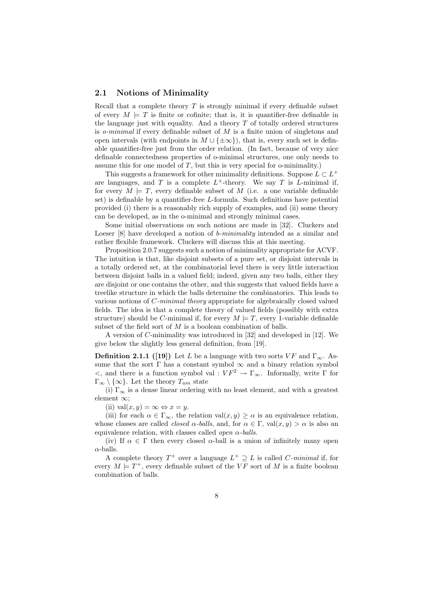#### 2.1 Notions of Minimality

Recall that a complete theory  $T$  is strongly minimal if every definable subset of every  $M \models T$  is finite or cofinite; that is, it is quantifier-free definable in the language just with equality. And a theory  $T$  of totally ordered structures is *o-minimal* if every definable subset of  $M$  is a finite union of singletons and open intervals (with endpoints in  $M \cup {\pm \infty}$ ), that is, every such set is definable quantifier-free just from the order relation. (In fact, because of very nice definable connectedness properties of o-minimal structures, one only needs to assume this for one model of  $T$ , but this is very special for o-minimality.)

This suggests a framework for other minimality definitions. Suppose  $L \subset L^+$ are languages, and T is a complete  $L^+$ -theory. We say T is L-minimal if, for every  $M \models T$ , every definable subset of M (i.e. a one variable definable set) is definable by a quantifier-free L-formula. Such definitions have potential provided (i) there is a reasonably rich supply of examples, and (ii) some theory can be developed, as in the o-minimal and strongly minimal cases.

Some initial observations on such notions are made in [32]. Cluckers and Loeser [8] have developed a notion of *b-minimality* intended as a similar and rather flexible framework. Cluckers will discuss this at this meeting.

Proposition 2.0.7 suggests such a notion of minimality appropriate for ACVF. The intuition is that, like disjoint subsets of a pure set, or disjoint intervals in a totally ordered set, at the combinatorial level there is very little interaction between disjoint balls in a valued field; indeed, given any two balls, either they are disjoint or one contains the other, and this suggests that valued fields have a treelike structure in which the balls determine the combinatorics. This leads to various notions of C-minimal theory appropriate for algebraically closed valued fields. The idea is that a complete theory of valued fields (possibly with extra structure) should be C-minimal if, for every  $M \models T$ , every 1-variable definable subset of the field sort of M is a boolean combination of balls.

A version of C-minimality was introduced in [32] and developed in [12]. We give below the slightly less general definition, from [19].

**Definition 2.1.1** ([19]) Let L be a language with two sorts VF and  $\Gamma_{\infty}$ . Assume that the sort  $\Gamma$  has a constant symbol  $\infty$  and a binary relation symbol  $\lt$ , and there is a function symbol val :  $VF^2$  → Γ<sub>∞</sub>. Informally, write Γ for  $\Gamma_{\infty} \setminus \{\infty\}$ . Let the theory  $T_{um}$  state

(i)  $\Gamma_{\infty}$  is a dense linear ordering with no least element, and with a greatest element ∞;

(ii) val $(x, y) = \infty \Leftrightarrow x = y$ .

(iii) for each  $\alpha \in \Gamma_{\infty}$ , the relation val $(x, y) \ge \alpha$  is an equivalence relation. whose classes are called *closed*  $\alpha$ -balls, and, for  $\alpha \in \Gamma$ , val $(x, y) > \alpha$  is also an equivalence relation, with classes called *open*  $\alpha$ -balls.

(iv) If  $\alpha \in \Gamma$  then every closed  $\alpha$ -ball is a union of infinitely many open  $\alpha$ -balls.

A complete theory  $T^+$  over a language  $L^+ \supseteq L$  is called C-minimal if, for every  $M \models T^+$ , every definable subset of the VF sort of M is a finite boolean combination of balls.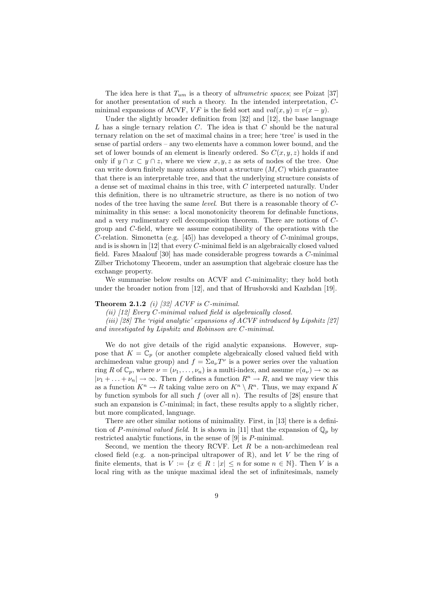The idea here is that  $T_{um}$  is a theory of *ultrametric spaces*; see Poizat [37] for another presentation of such a theory. In the intended interpretation, Cminimal expansions of ACVF,  $VF$  is the field sort and  $val(x, y) = v(x - y)$ .

Under the slightly broader definition from [32] and [12], the base language L has a single ternary relation  $C$ . The idea is that  $C$  should be the natural ternary relation on the set of maximal chains in a tree; here 'tree' is used in the sense of partial orders – any two elements have a common lower bound, and the set of lower bounds of an element is linearly ordered. So  $C(x, y, z)$  holds if and only if  $y \cap x \subset y \cap z$ , where we view x, y, z as sets of nodes of the tree. One can write down finitely many axioms about a structure  $(M, C)$  which guarantee that there is an interpretable tree, and that the underlying structure consists of a dense set of maximal chains in this tree, with C interpreted naturally. Under this definition, there is no ultrametric structure, as there is no notion of two nodes of the tree having the same level. But there is a reasonable theory of Cminimality in this sense: a local monotonicity theorem for definable functions, and a very rudimentary cell decomposition theorem. There are notions of Cgroup and C-field, where we assume compatibility of the operations with the C-relation. Simonetta (e.g. [45]) has developed a theory of C-minimal groups, and is is shown in [12] that every C-minimal field is an algebraically closed valued field. Fares Maalouf [30] has made considerable progress towards a C-minimal Zilber Trichotomy Theorem, under an assumption that algebraic closure has the exchange property.

We summarise below results on ACVF and C-minimality; they hold both under the broader notion from [12], and that of Hrushovski and Kazhdan [19].

#### **Theorem 2.1.2** (i) [32]  $ACVF$  is  $C\text{-minimal}$ .

(ii) [12] Every C-minimal valued field is algebraically closed.

(iii) [28] The 'rigid analytic' expansions of ACVF introduced by Lipshitz [27] and investigated by Lipshitz and Robinson are C-minimal.

We do not give details of the rigid analytic expansions. However, suppose that  $K = \mathbb{C}_p$  (or another complete algebraically closed valued field with archimedean value group) and  $f = \sum a_{\nu} T^{\nu}$  is a power series over the valuation ring R of  $\mathbb{C}_p$ , where  $\nu = (\nu_1, \ldots, \nu_n)$  is a multi-index, and assume  $v(a_\nu) \to \infty$  as  $|\nu_1 + \ldots + \nu_n| \to \infty$ . Then f defines a function  $R^n \to R$ , and we may view this as a function  $K^n \to R$  taking value zero on  $K^n \setminus R^n$ . Thus, we may expand K by function symbols for all such f (over all n). The results of [28] ensure that such an expansion is C-minimal; in fact, these results apply to a slightly richer, but more complicated, language.

There are other similar notions of minimality. First, in [13] there is a definition of P-minimal valued field. It is shown in [11] that the expansion of  $\mathbb{Q}_p$  by restricted analytic functions, in the sense of [9] is P-minimal.

Second, we mention the theory RCVF. Let  $R$  be a non-archimedean real closed field (e.g. a non-principal ultrapower of  $\mathbb{R}$ ), and let V be the ring of finite elements, that is  $V := \{x \in R : |x| \leq n \text{ for some } n \in \mathbb{N}\}\.$  Then V is a local ring with as the unique maximal ideal the set of infinitesimals, namely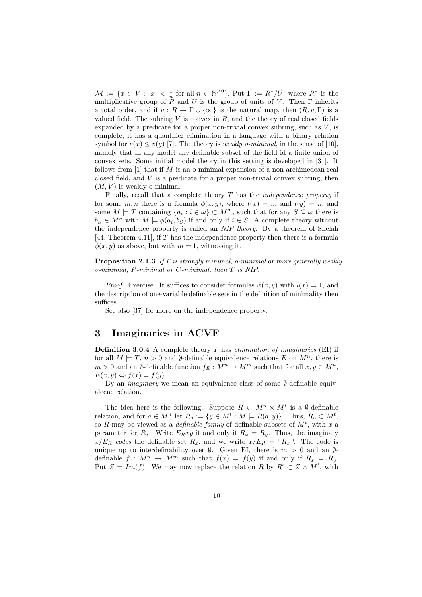$\mathcal{M} := \{x \in V : |x| < \frac{1}{n} \text{ for all } n \in \mathbb{N}^{>0}\}.$  Put  $\Gamma := R^*/U$ , where  $R^*$  is the multiplicative group of  $R$  and U is the group of units of V. Then  $\Gamma$  inherits a total order, and if  $v : R \to \Gamma \cup {\infty}$  is the natural map, then  $(R, v, \Gamma)$  is a valued field. The subring  $V$  is convex in  $R$ , and the theory of real closed fields expanded by a predicate for a proper non-trivial convex subring, such as  $V$ , is complete; it has a quantifier elimination in a language with a binary relation symbol for  $v(x) \le v(y)$  [7]. The theory is *weakly o-minimal*, in the sense of [10], namely that in any model any definable subset of the field id a finite union of convex sets. Some initial model theory in this setting is developed in [31]. It follows from  $[1]$  that if M is an o-minimal expansion of a non-archimedean real closed field, and  $V$  is a predicate for a proper non-trivial convex subring, then  $(M, V)$  is weakly o-minimal.

Finally, recall that a complete theory  $T$  has the *independence property* if for some  $m, n$  there is a formula  $\phi(x, y)$ , where  $l(x) = m$  and  $l(y) = n$ , and some  $M \models T$  containing  $\{a_i : i \in \omega\} \subset M^m$ , such that for any  $S \subseteq \omega$  there is  $b_S \in M^n$  with  $M \models \phi(a_i, b_S)$  if and only if  $i \in S$ . A complete theory without the independence property is called an NIP theory. By a theorem of Shelah [44, Theorem 4.11], if  $T$  has the independence property then there is a formula  $\phi(x, y)$  as above, but with  $m = 1$ , witnessing it.

**Proposition 2.1.3** If T is strongly minimal, o-minimal or more generally weakly o-minimal, P-minimal or C-minimal, then T is NIP.

*Proof.* Exercise. It suffices to consider formulas  $\phi(x, y)$  with  $l(x) = 1$ , and the description of one-variable definable sets in the definition of minimality then suffices.

See also [37] for more on the independence property.

# 3 Imaginaries in ACVF

**Definition 3.0.4** A complete theory T has *elimination of imaginaries* (EI) if for all  $M \models T, n > 0$  and  $\emptyset$ -definable equivalence relations E on  $M^n$ , there is  $m > 0$  and an Ø-definable function  $f_E : M^n \to M^m$  such that for all  $x, y \in M^n$ ,  $E(x, y) \Leftrightarrow f(x) = f(y).$ 

By an imaginary we mean an equivalence class of some ∅-definable equivalecne relation.

The idea here is the following. Suppose  $R \subset M^n \times M^t$  is a Ø-definable relation, and for  $a \in M^n$  let  $R_a := \{y \in M^t : M \models R(a, y)\}.$  Thus,  $R_a \subset M^t$ , so R may be viewed as a *definable family* of definable subsets of  $M^t$ , with x a parameter for  $R_x$ . Write  $E_Rxy$  if and only if  $R_x = R_y$ . Thus, the imaginary  $x/E_R$  codes the definable set  $R_x$ , and we write  $x/E_R = \lceil R_x \rceil$ . The code is unique up to interdefinability over  $\emptyset$ . Given EI, there is  $m > 0$  and an  $\emptyset$ definable  $f: M^n \to M^m$  such that  $f(x) = f(y)$  if and only if  $R_x = R_y$ . Put  $Z = Im(f)$ . We may now replace the relation R by  $R' \subset Z \times M^t$ , with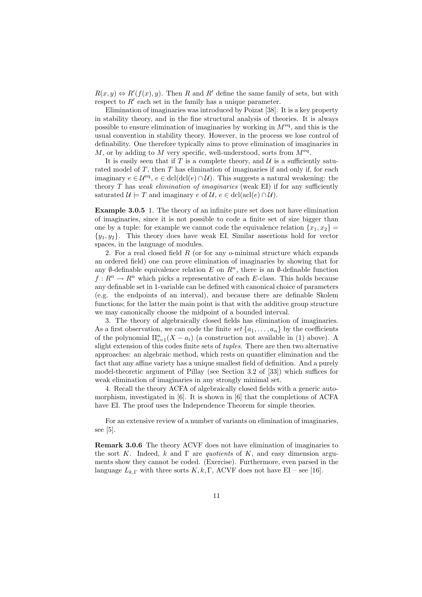$R(x, y) \Leftrightarrow R'(f(x), y)$ . Then R and R' define the same family of sets, but with respect to  $R'$  each set in the family has a unique parameter.

Elimination of imaginaries was introduced by Poizat [38]. It is a key property in stability theory, and in the fine structural analysis of theories. It is always possible to ensure elimination of imaginaries by working in  $M<sup>eq</sup>$ , and this is the usual convention in stability theory. However, in the process we lose control of definability. One therefore typically aims to prove elimination of imaginaries in M, or by adding to M very specific, well-understood, sorts from  $M<sup>eq</sup>$ .

It is easily seen that if T is a complete theory, and  $\mathcal U$  is a sufficiently saturated model of  $T$ , then  $T$  has elimination of imaginaries if and only if, for each imaginary  $e \in \mathcal{U}^{\text{eq}}, e \in \text{dcl}(\text{dcl}(e) \cap \mathcal{U})$ . This suggests a natural weakening: the theory  $T$  has weak elimination of imaginaries (weak EI) if for any sufficiently saturated  $\mathcal{U} \models T$  and imaginary e of  $\mathcal{U}$ ,  $e \in \text{dcl}(\text{acl}(e) \cap \mathcal{U})$ .

Example 3.0.5 1. The theory of an infinite pure set does not have elimination of imaginaries, since it is not possible to code a finite set of size bigger than one by a tuple: for example we cannot code the equivalence relation  $\{x_1, x_2\}$  ${y_1, y_2}$ . This theory does have weak EI. Similar assertions hold for vector spaces, in the language of modules.

2. For a real closed field  $R$  (or for any o-minimal structure which expands an ordered field) one can prove elimination of imaginaries by showing that for any Ø-definable equivalence relation E on  $\mathbb{R}^n$ , there is an Ø-definable function  $f: \mathbb{R}^n \to \mathbb{R}^n$  which picks a representative of each E-class. This holds because any definable set in 1-variable can be defined with canonical choice of parameters (e.g. the endpoints of an interval), and because there are definable Skolem functions; for the latter the main point is that with the additive group structure we may canonically choose the midpoint of a bounded interval.

3. The theory of algebraically closed fields has elimination of imaginaries. As a first observation, we can code the finite set  $\{a_1, \ldots, a_n\}$  by the coefficients of the polynomial  $\Pi_{i=1}^n(X - a_i)$  (a construction not available in (1) above). A slight extension of this codes finite sets of tuples. There are then two alternative approaches: an algebraic method, which rests on quantifier elimination and the fact that any affine variety has a unique smallest field of definition. And a purely model-theoretic argument of Pillay (see Section 3.2 of [33]) which suffices for weak elimination of imaginaries in any strongly minimal set.

4. Recall the theory ACFA of algebraically closed fields with a generic automorphism, investigated in [6]. It is shown in [6] that the completions of ACFA have EI. The proof uses the Independence Theorem for simple theories.

For an extensive review of a number of variants on elimination of imaginaries, see [5].

Remark 3.0.6 The theory ACVF does not have elimination of imaginaries to the sort K. Indeed, k and  $\Gamma$  are *quotients* of K, and easy dimension arguments show they cannot be coded. (Exercise). Furthermore, even parsed in the language  $L_{k,\Gamma}$  with three sorts  $K, k, \Gamma$ , ACVF does not have EI – see [16].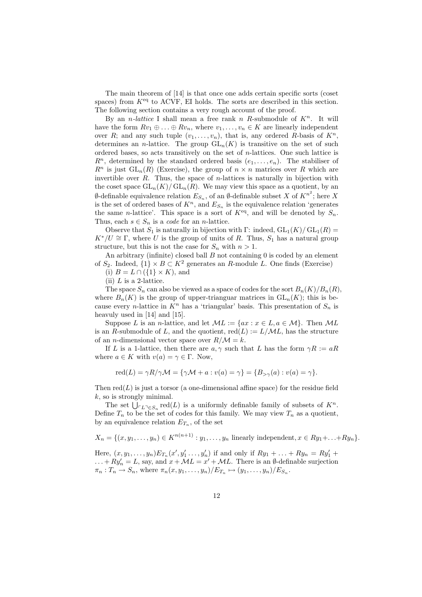The main theorem of [14] is that once one adds certain specific sorts (coset spaces) from  $K<sup>eq</sup>$  to ACVF, EI holds. The sorts are described in this section. The following section contains a very rough account of the proof.

By an *n*-lattice I shall mean a free rank n R-submodule of  $K<sup>n</sup>$ . It will have the form  $Rv_1 \oplus \ldots \oplus Rv_n$ , where  $v_1, \ldots, v_n \in K$  are linearly independent over R; and any such tuple  $(v_1, \ldots, v_n)$ , that is, any ordered R-basis of  $K^n$ , determines an *n*-lattice. The group  $GL_n(K)$  is transitive on the set of such ordered bases, so acts transitively on the set of n-lattices. One such lattice is  $R^n$ , determined by the standard ordered basis  $(e_1, \ldots, e_n)$ . The stabiliser of  $R^n$  is just  $GL_n(R)$  (Exercise), the group of  $n \times n$  matrices over R which are invertible over  $R$ . Thus, the space of *n*-lattices is naturally in bijection with the coset space  $GL_n(K)/ GL_n(R)$ . We may view this space as a quotient, by an  $\emptyset$ -definable equivalence relation  $E_{S_n}$ , of an  $\emptyset$ -definable subset X of  ${K^n}^2$ ; here X is the set of ordered bases of  $K<sup>n</sup>$ , and  $E<sub>S<sub>n</sub></sub>$  is the equivalence relation 'generates the same *n*-lattice'. This space is a sort of  $K^{eq}$ , and will be denoted by  $S_n$ . Thus, each  $s \in S_n$  is a *code* for an *n*-lattice.

Observe that  $S_1$  is naturally in bijection with Γ: indeed,  $GL_1(K)/ GL_1(R)$  =  $K^*/U \cong \Gamma$ , where U is the group of units of R. Thus,  $S_1$  has a natural group structure, but this is not the case for  $S_n$  with  $n > 1$ .

An arbitrary (infinite) closed ball  $B$  not containing  $0$  is coded by an element of  $S_2$ . Indeed,  $\{1\} \times B \subset K^2$  generates an R-module L. One finds (Exercise)

(i)  $B = L \cap (\{1\} \times K)$ , and

(ii)  $L$  is a 2-lattice.

The space  $S_n$  can also be viewed as a space of codes for the sort  $B_n(K)/B_n(R)$ , where  $B_n(K)$  is the group of upper-trianguar matrices in  $GL_n(K)$ ; this is because every *n*-lattice in  $K<sup>n</sup>$  has a 'triangular' basis. This presentation of  $S<sub>n</sub>$  is heavuly used in [14] and [15].

Suppose L is an n-lattice, and let  $ML := \{ax : x \in L, a \in M\}$ . Then  $ML$ is an R-submodule of L, and the quotient,  $\text{red}(L) := L/\mathcal{M}L$ , has the structure of an *n*-dimensional vector space over  $R/M = k$ .

If L is a 1-lattice, then there are  $a, \gamma$  such that L has the form  $\gamma R := aR$ where  $a \in K$  with  $v(a) = \gamma \in \Gamma$ . Now,

$$
\mathrm{red}(L) = \gamma R/\gamma \mathcal{M} = \{ \gamma \mathcal{M} + a : v(a) = \gamma \} = \{ B_{>\gamma}(a) : v(a) = \gamma \}.
$$

Then  $\text{red}(L)$  is just a torsor (a one-dimensional affine space) for the residue field  $k$ , so is strongly minimal.

The set  $\bigcup_{\substack{r \ L \supset \in S_n}} \text{red}(L)$  is a uniformly definable family of subsets of  $K^n$ . Define  $T_n$  to be the set of codes for this family. We may view  $T_n$  as a quotient, by an equivalence relation  $E_{T_n}$ , of the set

$$
X_n = \{(x, y_1, \ldots, y_n) \in K^{n(n+1)} : y_1, \ldots, y_n \text{ linearly independent}, x \in Ry_1 + \ldots + Ry_n\}.
$$

Here,  $(x, y_1, \ldots, y_n) E_{T_n}(x', y'_1, \ldots, y'_n)$  if and only if  $R y_1 + \ldots + R y_n = R y'_1 +$  $\ldots + Ry_n' = L$ , say, and  $x + ML = x' + ML$ . There is an Ø-definable surjection  $\pi_n: T_n \to S_n$ , where  $\pi_n(x, y_1, \ldots, y_n)/E_{T_n} \mapsto (y_1, \ldots, y_n)/E_{S_n}$ .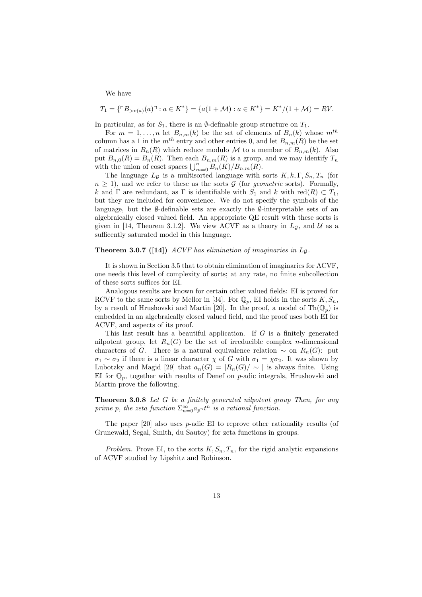We have

$$
T_1 = \{ \ulcorner B_{> v(a)}(a) \urcorner : a \in K^* \} = \{ a(1 + \mathcal{M}) : a \in K^* \} = K^* / (1 + \mathcal{M}) = RV.
$$

In particular, as for  $S_1$ , there is an  $\emptyset$ -definable group structure on  $T_1$ .

For  $m = 1, \ldots, n$  let  $B_{n,m}(k)$  be the set of elements of  $B_n(k)$  whose  $m^{th}$ column has a 1 in the  $m^{th}$  entry and other entries 0, and let  $B_{n,m}(R)$  be the set of matrices in  $B_n(R)$  which reduce modulo M to a member of  $B_{n,m}(k)$ . Also put  $B_{n,0}(R) = B_n(R)$ . Then each  $B_{n,m}(R)$  is a group, and we may identify  $T_n$ with the union of coset spaces  $\bigcup_{m=0}^n B_n(K)/B_{n,m}(R)$ .

The language  $L_{\mathcal{G}}$  is a multisorted language with sorts  $K, k, \Gamma, S_n, T_n$  (for  $n \geq 1$ , and we refer to these as the sorts G (for *geometric* sorts). Formally, k and Γ are redundant, as Γ is identifiable with  $S_1$  and k with red(R)  $\subset T_1$ , but they are included for convenience. We do not specify the symbols of the language, but the  $\emptyset$ -definable sets are exactly the  $\emptyset$ -interpretable sets of an algebraically closed valued field. An appropriate QE result with these sorts is given in [14, Theorem 3.1.2]. We view ACVF as a theory in  $L_{\mathcal{G}}$ , and  $\mathcal{U}$  as a sufficently saturated model in this language.

#### **Theorem 3.0.7** ([14]) ACVF has elimination of imaginaries in  $L_G$ .

It is shown in Section 3.5 that to obtain elimination of imaginaries for ACVF, one needs this level of complexity of sorts; at any rate, no finite subcollection of these sorts suffices for EI.

Analogous results are known for certain other valued fields: EI is proved for RCVF to the same sorts by Mellor in [34]. For  $\mathbb{Q}_p$ , EI holds in the sorts  $K, S_n$ , by a result of Hrushovski and Martin [20]. In the proof, a model of  $\text{Th}(\mathbb{Q}_p)$  is embedded in an algebraically closed valued field, and the proof uses both EI for ACVF, and aspects of its proof.

This last result has a beautiful application. If G is a finitely generated nilpotent group, let  $R_n(G)$  be the set of irreducible complex *n*-dimensional characters of G. There is a natural equivalence relation  $\sim$  on  $R_n(G)$ : put  $\sigma_1 \sim \sigma_2$  if there is a linear character  $\chi$  of G with  $\sigma_1 = \chi \sigma_2$ . It was shown by Lubotzky and Magid [29] that  $a_n(G) = |R_n(G)| \sim |$  is always finite. Using EI for  $\mathbb{Q}_p$ , together with results of Denef on p-adic integrals, Hrushovski and Martin prove the following.

Theorem 3.0.8 Let G be a finitely generated nilpotent group Then, for any prime p, the zeta function  $\sum_{n=0}^{\infty} a_{p^n} t^n$  is a rational function.

The paper  $[20]$  also uses *p*-adic EI to reprove other rationality results (of Grunewald, Segal, Smith, du Sautoy) for zeta functions in groups.

Problem. Prove EI, to the sorts  $K, S_n, T_n$ , for the rigid analytic expansions of ACVF studied by Lipshitz and Robinson.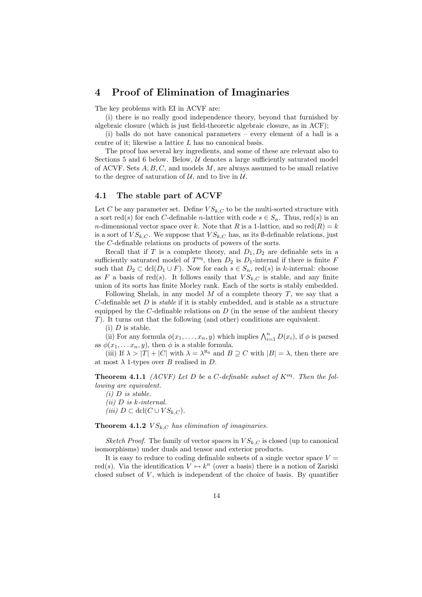# 4 Proof of Elimination of Imaginaries

The key problems with EI in ACVF are:

(i) there is no really good independence theory, beyond that furnished by algebraic closure (which is just field-theoretic algebraic closure, as in ACF);

(i) balls do not have canonical parameters – every element of a ball is a centre of it; likewise a lattice L has no canonical basis.

The proof has several key ingredients, and some of these are relevant also to Sections 5 and 6 below. Below,  $U$  denotes a large sufficiently saturated model of ACVF. Sets  $A, B, C$ , and models  $M$ , are always assumed to be small relative to the degree of saturation of  $\mathcal{U}$ , and to live in  $\mathcal{U}$ .

### 4.1 The stable part of ACVF

Let C be any parameter set. Define  $VS_{k,C}$  to be the multi-sorted structure with a sort red(s) for each C-definable *n*-lattice with code  $s \in S_n$ . Thus, red(s) is an n-dimensional vector space over k. Note that R is a 1-lattice, and so red $(R) = k$ is a sort of  $VS_{k,C}$ . We suppose that  $VS_{k,C}$  has, as its  $\emptyset$ -definable relations, just the C-definable relations on products of powers of the sorts.

Recall that if T is a complete theory, and  $D_1, D_2$  are definable sets in a sufficiently saturated model of  $T<sup>eq</sup>$ , then  $D_2$  is  $D_1$ -internal if there is finite F such that  $D_2 \subset \text{dcl}(D_1 \cup F)$ . Now for each  $s \in S_n$ , red(s) is k-internal: choose as F a basis of red(s). It follows easily that  $VS_{k,C}$  is stable, and any finite union of its sorts has finite Morley rank. Each of the sorts is stably embedded.

Following Shelah, in any model  $M$  of a complete theory  $T$ , we say that a C-definable set  $D$  is *stable* if it is stably embedded, and is stable as a structure equipped by the  $C$ -definable relations on  $D$  (in the sense of the ambient theory T). It turns out that the following (and other) conditions are equivalent.

 $(i)$  D is stable.

(ii) For any formula  $\phi(x_1, \ldots, x_n, y)$  which implies  $\bigwedge_{i=1}^n D(x_i)$ , if  $\phi$  is parsed as  $\phi(x_1, \ldots, x_n, y)$ , then  $\phi$  is a stable formula.

(iii) If  $\lambda > |T| + |C|$  with  $\lambda = \lambda^{\aleph_0}$  and  $B \supseteq C$  with  $|B| = \lambda$ , then there are at most  $\lambda$  1-types over B realised in D.

**Theorem 4.1.1** (ACVF) Let D be a C-definable subset of  $K^{eq}$ . Then the following are equivalent.

 $(i)$  D is stable.

 $(ii)$  D is k-internal.

(iii)  $D \subset \text{dcl}(C \cup VS_{k.C}).$ 

**Theorem 4.1.2**  $VS_{k,C}$  has elimination of imaginaries.

Sketch Proof. The family of vector spaces in  $VS_{k,C}$  is closed (up to canonical isomorphisms) under duals and tensor and exterior products.

It is easy to reduce to coding definable subsets of a single vector space  $V =$ red(s). Via the identification  $V \leftrightarrow k^n$  (over a basis) there is a notion of Zariski closed subset of  $V$ , which is independent of the choice of basis. By quantifier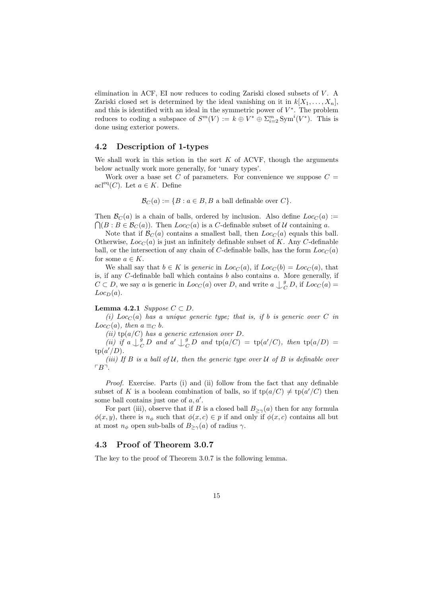elimination in ACF, EI now reduces to coding Zariski closed subsets of  $V$ . A Zariski closed set is determined by the ideal vanishing on it in  $k[X_1, \ldots, X_n]$ , and this is identified with an ideal in the symmetric power of  $V^*$ . The problem reduces to coding a subspace of  $S^m(V) := k \oplus V^* \oplus \sum_{i=2}^m \text{Sym}^i(V^*)$ . This is done using exterior powers.

#### 4.2 Description of 1-types

We shall work in this setion in the sort  $K$  of ACVF, though the arguments below actually work more generally, for 'unary types'.

Work over a base set C of parameters. For convenience we suppose  $C =$ acl<sup>eq</sup>(C). Let  $a \in K$ . Define

$$
\mathcal{B}_C(a) := \{ B : a \in B, B \text{ a ball definable over } C \}.
$$

Then  $\mathcal{B}_C(a)$  is a chain of balls, ordered by inclusion. Also define  $Loc_C(a)$  :=  $\bigcap (B : B \in \mathcal{B}_C(a))$ . Then  $Loc_C(a)$  is a C-definable subset of U containing a.

Note that if  $\mathcal{B}_C(a)$  contains a smallest ball, then  $Loc_C(a)$  equals this ball. Otherwise,  $Loc<sub>C</sub>(a)$  is just an infinitely definable subset of K. Any C-definable ball, or the intersection of any chain of C-definable balls, has the form  $Loc<sub>C</sub>(a)$ for some  $a \in K$ .

We shall say that  $b \in K$  is generic in  $Loc_{C}(a)$ , if  $Loc_{C}(b) = Loc_{C}(a)$ , that is, if any  $C$ -definable ball which contains  $b$  also contains  $a$ . More generally, if  $C \subset D$ , we say a is generic in  $Loc_{C}(a)$  over D, and write  $a \bigcup_{C}^g$  $_{C}^{g}$  D, if  $Loc_{C}(a) =$  $Loc_D(a)$ .

#### Lemma 4.2.1 Suppose  $C \subset D$ .

(i)  $Loc<sub>C</sub>(a)$  has a unique generic type; that is, if b is generic over C in  $Loc<sub>C</sub>(a), then a \equiv_C b.$ 

(ii)  $tp(a/C)$  has a generic extension over D.

(*ii*) if  $a \bigcup_{C}^{g}$  $\overset{\scriptscriptstyle g}\overline{\rule{0pt}{0pt}}_C\, D\,$  and  $\displaystyle{a'\mathop{\bigcup}\limits_{\mathcal{C}}^{\phantom{\bigcup}}\,$  $_{C}^{g}D$  and  $tp(a/C) = tp(a'/C)$ , then  $tp(a/D) =$  $tp(a'/D)$ .

(iii) If  $B$  is a ball of  $U$ , then the generic type over  $U$  of  $B$  is definable over  $\ulcorner B \urcorner$ .

Proof. Exercise. Parts (i) and (ii) follow from the fact that any definable subset of K is a boolean combination of balls, so if  $tp(a/C) \neq tp(a'/C)$  then some ball contains just one of  $a, a'$ .

For part (iii), observe that if B is a closed ball  $B_{\geq \gamma}(a)$  then for any formula  $\phi(x, y)$ , there is  $n_{\phi}$  such that  $\phi(x, c) \in p$  if and only if  $\phi(x, c)$  contains all but at most  $n_{\phi}$  open sub-balls of  $B_{\geq \gamma}(a)$  of radius  $\gamma$ .

### 4.3 Proof of Theorem 3.0.7

The key to the proof of Theorem 3.0.7 is the following lemma.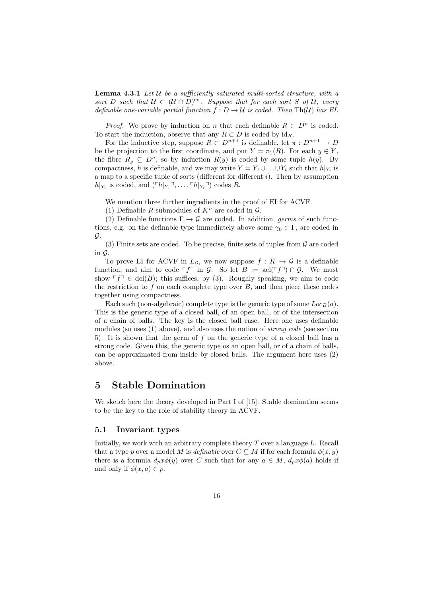**Lemma 4.3.1** Let  $\mathcal U$  be a sufficiently saturated multi-sorted structure, with a sort D such that  $U \subset (U \cap D)^{eq}$ . Suppose that for each sort S of U, every definable one-variable partial function  $f: D \to U$  is coded. Then Th(U) has EI.

*Proof.* We prove by induction on n that each definable  $R \subset D^n$  is coded. To start the induction, observe that any  $R \subset D$  is coded by  $id_R$ .

For the inductive step, suppose  $R \subset D^{n+1}$  is definable, let  $\pi : D^{n+1} \to D$ be the projection to the first coordinate, and put  $Y = \pi_1(R)$ . For each  $y \in Y$ , the fibre  $R_y \subseteq D^n$ , so by induction  $R(y)$  is coded by some tuple  $h(y)$ . By compactness, h is definable, and we may write  $Y = Y_1 \cup \ldots \cup Y_t$  such that  $h|_{Y_i}$  is a map to a specific tuple of sorts (different for different  $i$ ). Then by assumption  $h|_{Y_i}$  is coded, and  $({\lceil h|_{Y_1}}^{\intercal}, \ldots, {\lceil h|_{Y_t}}^{\intercal})$  codes R.

We mention three further ingredients in the proof of EI for ACVF.

(1) Definable R-submodules of  $K<sup>n</sup>$  are coded in  $\mathcal{G}$ .

(2) Definable functions  $\Gamma \to \mathcal{G}$  are coded. In addition, germs of such functions, e.g. on the definable type immediately above some  $\gamma_0 \in \Gamma$ , are coded in G.

(3) Finite sets are coded. To be precise, finite sets of tuples from  $\mathcal G$  are coded in  $\mathcal G$ .

To prove EI for ACVF in  $L_g$ , we now suppose  $f: K \to \mathcal{G}$  is a definable function, and aim to code  $\ulcorner f\urcorner$  in G. So let  $B := \text{acl}(\ulcorner f\urcorner) \cap G$ . We must show  $\ulcorner f \urcorner \in \text{dcl}(B)$ ; this suffices, by (3). Roughly speaking, we aim to code the restriction to  $f$  on each complete type over  $B$ , and then piece these codes together using compactness.

Each such (non-algebraic) complete type is the generic type of some  $Loc_B(a)$ . This is the generic type of a closed ball, of an open ball, or of the intersection of a chain of balls. The key is the closed ball case. Here one uses definable modules (so uses (1) above), and also uses the notion of strong code (see section 5). It is shown that the germ of f on the generic type of a closed ball has a strong code. Given this, the generic type os an open ball, or of a chain of balls, can be approximated from inside by closed balls. The argument here uses (2) above.

# 5 Stable Domination

We sketch here the theory developed in Part I of [15]. Stable domination seems to be the key to the role of stability theory in ACVF.

### 5.1 Invariant types

Initially, we work with an arbitrary complete theory  $T$  over a language  $L$ . Recall that a type p over a model M is definable over  $C \subseteq M$  if for each formula  $\phi(x, y)$ there is a formula  $d_p x \phi(y)$  over C such that for any  $a \in M$ ,  $d_p x \phi(a)$  holds if and only if  $\phi(x, a) \in p$ .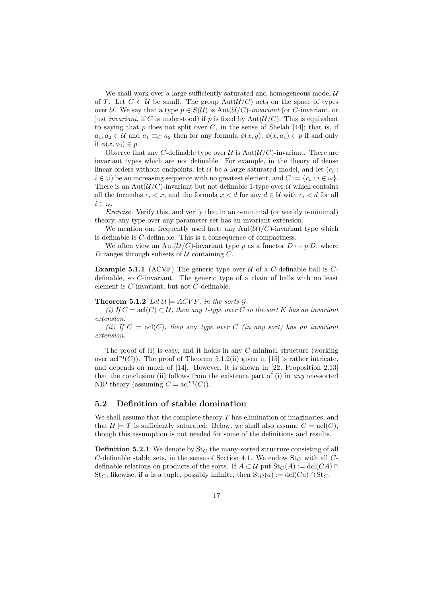We shall work over a large sufficiently saturated and homogeneous model  $U$ of T. Let  $C \subset \mathcal{U}$  be small. The group  $Aut(\mathcal{U}/C)$  acts on the space of types over U. We say that a type  $p \in S(\mathcal{U})$  is  $Aut(\mathcal{U}/C)$ -invariant (or C-invariant, or just *invariant*, if C is understood) if p is fixed by Aut $(\mathcal{U}/C)$ . This is equivalent to saying that  $p$  does not split over  $C$ , in the sense of Shelah [44]; that is, if  $a_1, a_2 \in \mathcal{U}$  and  $a_1 \equiv_C a_2$  then for any formula  $\phi(x, y), \phi(x, a_1) \in p$  if and only if  $\phi(x, a_2) \in p$ .

Observe that any C-definable type over  $\mathcal U$  is  $\mathrm{Aut}(\mathcal U/C)$ -invariant. There are invariant types which are not definable. For example, in the theory of dense linear orders without endpoints, let  $\mathcal U$  be a large saturated model, and let  $(c_i :$  $i \in \omega$ ) be an increasing sequence with no greatest element, and  $C := \{c_i : i \in \omega\}.$ There is an Aut $(\mathcal{U}/C)$ -invariant but not definable 1-type over U which contains all the formulas  $c_i < x$ , and the formula  $x < d$  for any  $d \in \mathcal{U}$  with  $c_i < d$  for all  $i \in \omega$ .

Exercise. Verify this, and verify that in an o-minimal (or weakly o-minimal) theory, any type over any parameter set has an invariant extension.

We mention one frequently used fact: any  $Aut(\mathcal{U})/C$ -invariant type which is definable is C-definable. This is a consequence of compactness.

We often view an Aut $(\mathcal{U}/C)$ -invariant type p as a functor  $D \mapsto p|D$ , where D ranges through subsets of  $U$  containing C.

**Example 5.1.1** (ACVF) The generic type over  $U$  of a C-definable ball is Cdefinable, so C-invariant. The generic type of a chain of balls with no least element is C-invariant, but not C-definable.

#### **Theorem 5.1.2** Let  $\mathcal{U} \models ACVF$ , in the sorts  $\mathcal{G}$ .

(i) If  $C = \text{acl}(C) \subset \mathcal{U}$ , then any 1-type over C in the sort K has an invariant extension.

(ii) If  $C = \operatorname{acl}(C)$ , then any type over C (in any sort) has an invariant extension.

The proof of (i) is easy, and it holds in any C-minimal structure (working over  $\operatorname{acl}^{\text{eq}}(C)$ ). The proof of Theorem 5.1.2(ii) given in [15] is rather intricate, and depends on much of [14]. However, it is shown in [22, Proposition 2.13] that the conclusion (ii) follows from the existence part of (i) in any one-sorted NIP theory (assuming  $C = \text{acl}^{\text{eq}}(C)$ ).

### 5.2 Definition of stable domination

We shall assume that the complete theory  $T$  has elimination of imaginaries, and that  $\mathcal{U} \models T$  is sufficiently saturated. Below, we shall also assume  $C = \text{acl}(C)$ , though this assumption is not needed for some of the definitions and results.

**Definition 5.2.1** We denote by  $\text{St}_C$  the many-sorted structure consisting of all  $C$ -definable stable sets, in the sense of Section 4.1. We endow  $St_C$  with all  $C$ definable relations on products of the sorts. If  $A \subset U$  put  $\text{St}_C(A) := \text{dcl}(CA) \cap$ St<sub>C</sub>; likewise, if a is a tuple, possibly infinite, then  $St_C(a) := \text{dcl}(Ca) \cap St_C$ .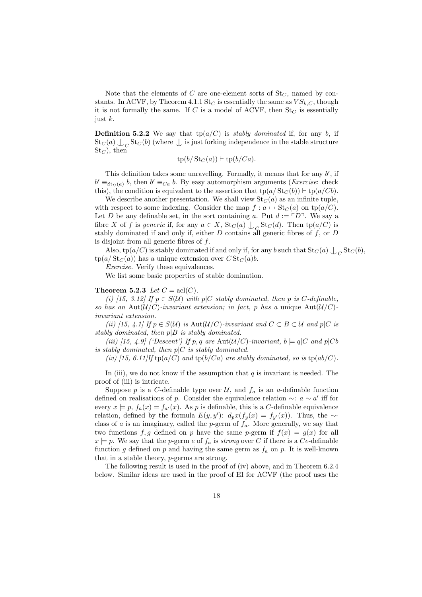Note that the elements of C are one-element sorts of  $St_C$ , named by constants. In ACVF, by Theorem 4.1.1 St<sub>C</sub> is essentially the same as  $VS_{k,C}$ , though it is not formally the same. If C is a model of ACVF, then  $St_C$  is essentially just k.

**Definition 5.2.2** We say that  $tp(a/C)$  is *stably dominated* if, for any b, if  $\operatorname{St}_C(a) \bigcup_C \operatorname{St}_C(b)$  (where  $\bigcup$  is just forking independence in the stable structure  $St_C$ , then

$$
tp(b/\operatorname{St}_C(a)) \vdash tp(b/Ca).
$$

This definition takes some unravelling. Formally, it means that for any  $b'$ , if  $b' \equiv_{\text{St}_C(a)} b$ , then  $b' \equiv_{Ca} b$ . By easy automorphism arguments (*Exercise:* check this), the condition is equivalent to the assertion that  $tp(a/St_C(b)) \vdash tp(a/Cb)$ .

We describe another presentation. We shall view  $St_C(a)$  as an infinite tuple, with respect to some indexing. Consider the map  $f : a \mapsto \text{St}_C(a)$  on tp( $a/C$ ). Let D be any definable set, in the sort containing a. Put  $d := \ulcorner D \urcorner$ . We say a fibre X of f is generic if, for any  $a \in X$ ,  $\text{St}_C(a) \perp_C \text{St}_C(d)$ . Then  $\text{tp}(a/C)$  is stably dominated if and only if, either  $D$  contains all generic fibres of  $f$ , or  $D$ is disjoint from all generic fibres of  $f$ .

Also,  $tp(a/C)$  is stably dominated if and only if, for any b such that  $St_C(a) \perp_C St_C(b)$ ,  $tp(a/St_C(a))$  has a unique extension over  $CSt_C(a)b$ .

Exercise. Verify these equivalences.

We list some basic properties of stable domination.

#### Theorem 5.2.3 Let  $C = \text{acl}(C)$ .

(i) [15, 3.12] If  $p \in S(\mathcal{U})$  with  $p|C$  stably dominated, then p is C-definable, so has an Aut $(\mathcal{U}/C)$ -invariant extension; in fact, p has a unique Aut $(\mathcal{U}/C)$ invariant extension.

(ii) [15, 4.1] If  $p \in S(\mathcal{U})$  is  $\text{Aut}(\mathcal{U}/C)$ -invariant and  $C \subset B \subset \mathcal{U}$  and  $p|C$  is stably dominated, then  $p|B$  is stably dominated.

(iii) [15, 4.9] ('Descent') If p, q are  $\text{Aut}(\mathcal{U}/C)$ -invariant,  $b \models q|C$  and  $p|Cb$ is stably dominated, then  $p|C$  is stably dominated.

(iv) [15, 6.11] If tp(a/C) and tp(b/Ca) are stably dominated, so is tp(ab/C).

In (iii), we do not know if the assumption that  $q$  is invariant is needed. The proof of (iii) is intricate.

Suppose p is a C-definable type over  $\mathcal{U}$ , and  $f_a$  is an a-definable function defined on realisations of p. Consider the equivalence relation  $\sim$ :  $a \sim a'$  iff for every  $x \models p$ ,  $f_a(x) = f_{a'}(x)$ . As p is definable, this is a C-definable equivalence relation, defined by the formula  $E(y, y')$ :  $d_p x(f_y(x) = f_{y'}(x))$ . Thus, the ∼class of  $a$  is an imaginary, called the  $p$ -germ of  $f_a$ . More generally, we say that two functions f, g defined on p have the same p-germ if  $f(x) = g(x)$  for all  $x \models p$ . We say that the p-germ e of  $f_a$  is strong over C if there is a Ce-definable function g defined on p and having the same germ as  $f_a$  on p. It is well-known that in a stable theory, p-germs are strong.

The following result is used in the proof of (iv) above, and in Theorem 6.2.4 below. Similar ideas are used in the proof of EI for ACVF (the proof uses the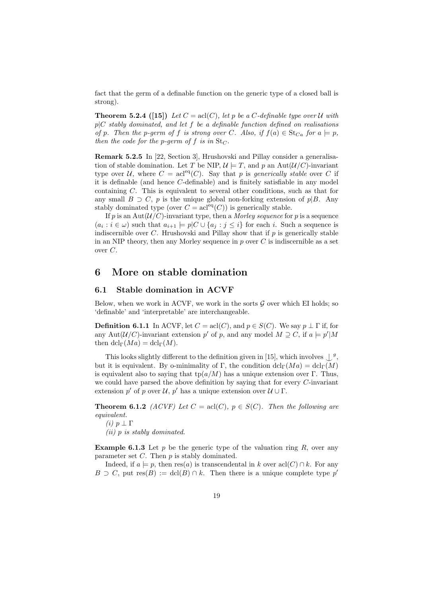fact that the germ of a definable function on the generic type of a closed ball is strong).

**Theorem 5.2.4** ([15]) Let  $C = \text{acl}(C)$ , let p be a C-definable type over U with  $p|C$  stably dominated, and let f be a definable function defined on realisations of p. Then the p-germ of f is strong over C. Also, if  $f(a) \in \text{St}_{Ca}$  for  $a \models p$ , then the code for the p-germ of f is in  $\text{St}_C$ .

Remark 5.2.5 In [22, Section 3], Hrushovski and Pillay consider a generalisation of stable domination. Let T be NIP,  $\mathcal{U} \models T$ , and p an Aut $(\mathcal{U}/C)$ -invariant type over U, where  $C = \text{acl}^{\text{eq}}(C)$ . Say that p is generically stable over C if it is definable (and hence C-definable) and is finitely satisfiable in any model containing C. This is equivalent to several other conditions, such as that for any small  $B \supset C$ , p is the unique global non-forking extension of p|B. Any stably dominated type (over  $C = \operatorname{acl}^{\text{eq}}(C)$ ) is generically stable.

If p is an Aut $(U/C)$ -invariant type, then a Morley sequence for p is a sequence  $(a_i : i \in \omega)$  such that  $a_{i+1} \models p \mid C \cup \{a_j : j \leq i\}$  for each i. Such a sequence is indiscernible over  $C$ . Hrushovski and Pillay show that if  $p$  is generically stable in an NIP theory, then any Morley sequence in  $p$  over  $C$  is indiscernible as a set over C.

# 6 More on stable domination

### 6.1 Stable domination in ACVF

Below, when we work in ACVF, we work in the sorts  $G$  over which EI holds; so 'definable' and 'interpretable' are interchangeable.

**Definition 6.1.1** In ACVF, let  $C = \text{acl}(C)$ , and  $p \in S(C)$ . We say  $p \perp \Gamma$  if, for any Aut $(\mathcal{U}/C)$ -invariant extension p' of p, and any model  $M \supseteq C$ , if  $a \models p'|M$ then  $dcl_{\Gamma}(Ma) = dcl_{\Gamma}(M)$ .

This looks slightly different to the definition given in [15], which involves  $\bigcup^g$ , but it is equivalent. By o-minimality of Γ, the condition  $dcl_{\Gamma}(Ma) = dcl_{\Gamma}(M)$ is equivalent also to saying that  $tp(a/M)$  has a unique extension over Γ. Thus, we could have parsed the above definition by saying that for every C-invariant extension p' of p over  $\mathcal{U}, p'$  has a unique extension over  $\mathcal{U} \cup \Gamma$ .

**Theorem 6.1.2** (ACVF) Let  $C = \text{acl}(C)$ ,  $p \in S(C)$ . Then the following are equivalent.

(*i*)  $p \perp \Gamma$ (ii) p is stably dominated.

**Example 6.1.3** Let p be the generic type of the valuation ring R, over any

parameter set  $C$ . Then  $p$  is stably dominated. Indeed, if  $a \models p$ , then res(a) is transcendental in k over  $\operatorname{acl}(C) \cap k$ . For any  $B \supset C$ , put res $(B) := \text{dcl}(B) \cap k$ . Then there is a unique complete type p'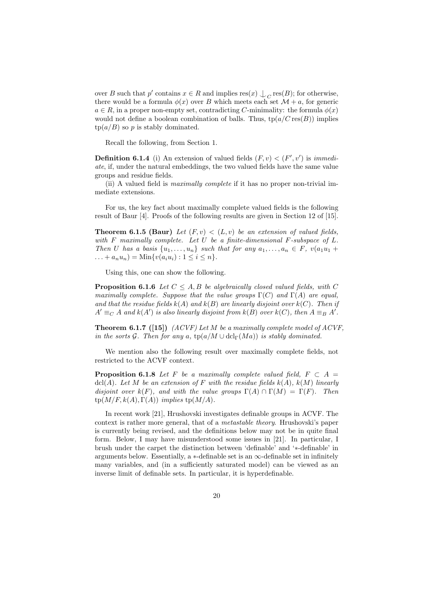over B such that  $p'$  contains  $x \in R$  and implies  $res(x) \cup_C res(B)$ ; for otherwise, there would be a formula  $\phi(x)$  over B which meets each set  $\mathcal{M} + a$ , for generic  $a \in R$ , in a proper non-empty set, contradicting C-minimality: the formula  $\phi(x)$ would not define a boolean combination of balls. Thus,  $tp(a/C \operatorname{res}(B))$  implies  $tp(a/B)$  so p is stably dominated.

Recall the following, from Section 1.

**Definition 6.1.4** (i) An extension of valued fields  $(F, v) < (F', v')$  is *immedi*ate, if, under the natural embeddings, the two valued fields have the same value groups and residue fields.

(ii) A valued field is maximally complete if it has no proper non-trivial immediate extensions.

For us, the key fact about maximally complete valued fields is the following result of Baur [4]. Proofs of the following results are given in Section 12 of [15].

**Theorem 6.1.5 (Baur)** Let  $(F, v) < (L, v)$  be an extension of valued fields, with  $F$  maximally complete. Let  $U$  be a finite-dimensional  $F$ -subspace of  $L$ . Then U has a basis  $\{u_1, \ldots, u_n\}$  such that for any  $a_1, \ldots, a_n \in F$ ,  $v(a_1u_1 +$ ... +  $a_n u_n$  = Min{ $v(a_i u_i)$  :  $1 \le i \le n$  }.

Using this, one can show the following.

**Proposition 6.1.6** Let  $C \leq A, B$  be algebraically closed valued fields, with C maximally complete. Suppose that the value groups  $\Gamma(C)$  and  $\Gamma(A)$  are equal, and that the residue fields  $k(A)$  and  $k(B)$  are linearly disjoint over  $k(C)$ . Then if  $A' \equiv_C A$  and  $k(A')$  is also linearly disjoint from  $k(B)$  over  $k(C)$ , then  $A \equiv_B A'$ .

**Theorem 6.1.7** ([15])  $(ACVF)$  Let M be a maximally complete model of  $ACVF$ , in the sorts G. Then for any a,  $tp(a/M \cup \text{dcl}_{\Gamma}(Ma))$  is stably dominated.

We mention also the following result over maximally complete fields, not restricted to the ACVF context.

**Proposition 6.1.8** Let F be a maximally complete valued field,  $F \subset A$ dcl(A). Let M be an extension of F with the residue fields  $k(A)$ ,  $k(M)$  linearly disjoint over  $k(F)$ , and with the value groups  $\Gamma(A) \cap \Gamma(M) = \Gamma(F)$ . Then  $tp(M/F, k(A), \Gamma(A))$  implies  $tp(M/A)$ .

In recent work [21], Hrushovski investigates definable groups in ACVF. The context is rather more general, that of a metastable theory. Hrushovski's paper is currently being revised, and the definitions below may not be in quite final form. Below, I may have misunderstood some issues in [21]. In particular, I brush under the carpet the distinction between 'definable' and '∗-definable' in arguments below. Essentially, a  $*$ -definable set is an  $\infty$ -definable set in infinitely many variables, and (in a sufficiently saturated model) can be viewed as an inverse limit of definable sets. In particular, it is hyperdefinable.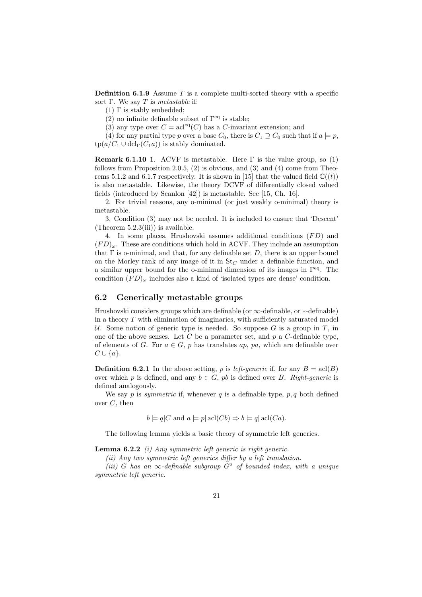**Definition 6.1.9** Assume  $T$  is a complete multi-sorted theory with a specific sort Γ. We say  $T$  is metastable if:

- $(1)$  Γ is stably embedded;
- (2) no infinite definable subset of  $\Gamma$ <sup>eq</sup> is stable;
- (3) any type over  $C = \text{acl}^{\text{eq}}(C)$  has a C-invariant extension; and

(4) for any partial type p over a base  $C_0$ , there is  $C_1 \supseteq C_0$  such that if  $a \models p$ ,  $tp(a/C_1 \cup \text{dcl}_{\Gamma}(C_1a))$  is stably dominated.

Remark 6.1.10 1. ACVF is metastable. Here  $\Gamma$  is the value group, so (1) follows from Proposition 2.0.5,  $(2)$  is obvious, and  $(3)$  and  $(4)$  come from Theorems 5.1.2 and 6.1.7 respectively. It is shown in [15] that the valued field  $\mathbb{C}((t))$ is also metastable. Likewise, the theory DCVF of differentially closed valued fields (introduced by Scanlon [42]) is metastable. See [15, Ch. 16].

2. For trivial reasons, any o-minimal (or just weakly o-minimal) theory is metastable.

3. Condition (3) may not be needed. It is included to ensure that 'Descent' (Theorem  $5.2.3(iii)$ ) is available.

4. In some places, Hrushovski assumes additional conditions  $(FD)$  and  $(FD)_{\omega}$ . These are conditions which hold in ACVF. They include an assumption that  $\Gamma$  is o-minimal, and that, for any definable set D, there is an upper bound on the Morley rank of any image of it in  $St_C$  under a definable function, and a similar upper bound for the o-minimal dimension of its images in Γeq. The condition  $(FD)_{\omega}$  includes also a kind of 'isolated types are dense' condition.

### 6.2 Generically metastable groups

Hrushovski considers groups which are definable (or  $\infty$ -definable, or  $*$ -definable) in a theory  $T$  with elimination of imaginaries, with sufficiently saturated model U. Some notion of generic type is needed. So suppose G is a group in T, in one of the above senses. Let C be a parameter set, and  $p$  a C-definable type, of elements of G. For  $a \in G$ , p has translates ap, pa, which are definable over  $C \cup \{a\}.$ 

**Definition 6.2.1** In the above setting, p is *left-generic* if, for any  $B = \text{acl}(B)$ over which p is defined, and any  $b \in G$ , pb is defined over B. Right-generic is defined analogously.

We say p is *symmetric* if, whenever q is a definable type,  $p, q$  both defined over  $C$ , then

 $b \models a|C$  and  $a \models p| \text{acl}(Cb) \Rightarrow b \models a| \text{acl}(Ca)$ .

The following lemma yields a basic theory of symmetric left generics.

**Lemma 6.2.2** (i) Any symmetric left generic is right generic.

(ii) Any two symmetric left generics differ by a left translation.

(iii) G has an  $\infty$ -definable subgroup  $G^{\circ}$  of bounded index, with a unique symmetric left generic.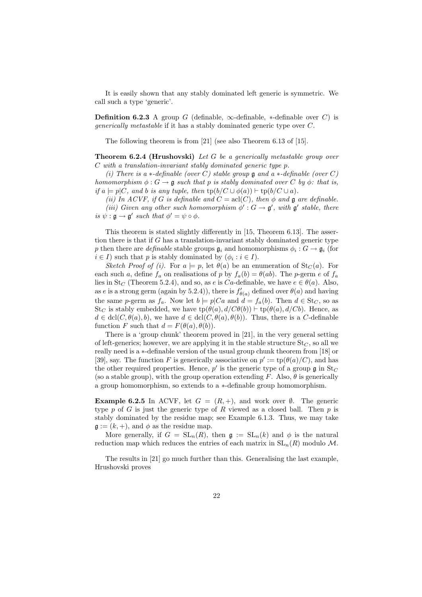It is easily shown that any stably dominated left generic is symmetric. We call such a type 'generic'.

**Definition 6.2.3** A group G (definable,  $\infty$ -definable, \*-definable over C) is generically metastable if it has a stably dominated generic type over C.

The following theorem is from [21] (see also Theorem 6.13 of [15].

**Theorem 6.2.4 (Hrushovski)** Let G be a generically metastable group over C with a translation-invariant stably dominated generic type p.

(i) There is a  $\ast$ -definable (over C) stable group **g** and a  $\ast$ -definable (over C) homomorphism  $\phi: G \to \mathfrak{g}$  such that p is stably dominated over C by  $\phi$ : that is, if  $a \models p | C$ , and b is any tuple, then  $\text{tp}(b/C \cup \phi(a)) \models \text{tp}(b/C \cup a)$ .

(ii) In ACVF, if G is definable and  $C = \text{acl}(C)$ , then  $\phi$  and  $\mathfrak g$  are definable.

(iii) Given any other such homomorphism  $\phi': G \to \mathfrak{g}'$ , with  $\mathfrak{g}'$  stable, there is  $\psi : \mathfrak{g} \to \mathfrak{g}'$  such that  $\phi' = \psi \circ \phi$ .

This theorem is stated slightly differently in [15, Theorem 6.13]. The assertion there is that if G has a translation-invariant stably dominated generic type p then there are *definable* stable groups  $\mathfrak{g}_i$  and homomorphisms  $\phi_i$ :  $G \to \mathfrak{g}_i$  (for  $i \in I$ ) such that p is stably dominated by  $(\phi_i : i \in I)$ .

Sketch Proof of (i). For  $a \models p$ , let  $\theta(a)$  be an enumeration of  $\text{St}_C(a)$ . For each such a, define  $f_a$  on realisations of p by  $f_a(b) = \theta(ab)$ . The p-germ e of  $f_a$ lies in St<sub>C</sub> (Theorem 5.2.4), and so, as e is Ca-definable, we have  $e \in \theta(a)$ . Also, as e is a strong germ (again by 5.2.4)), there is  $f'_{\theta(a)}$  defined over  $\theta(a)$  and having the same p-germ as  $f_a$ . Now let  $b \models p|Ca$  and  $d = f_a(b)$ . Then  $d \in \text{St}_C$ , so as St<sub>C</sub> is stably embedded, we have  $tp(\theta(a), d/C\theta(b)) \vdash tp(\theta(a), d/Cb)$ . Hence, as  $d \in \text{dcl}(C, \theta(a), b)$ , we have  $d \in \text{dcl}(C, \theta(a), \theta(b))$ . Thus, there is a C-definable function F such that  $d = F(\theta(a), \theta(b)).$ 

There is a 'group chunk' theorem proved in [21], in the very general setting of left-generics; however, we are applying it in the stable structure  $St_C$ , so all we really need is a ∗-definable version of the usual group chunk theorem from [18] or [39], say. The function F is generically associative on  $p' := \text{tp}(\theta(a)/C)$ , and has the other required properties. Hence,  $p'$  is the generic type of a group  $\mathfrak g$  in  $\operatorname{St}_C$ (so a stable group), with the group operation extending F. Also,  $\theta$  is generically a group homomorphism, so extends to a ∗-definable group homomorphism.

**Example 6.2.5** In ACVF, let  $G = (R, +)$ , and work over  $\emptyset$ . The generic type  $p$  of  $G$  is just the generic type of  $R$  viewed as a closed ball. Then  $p$  is stably dominated by the residue map; see Example 6.1.3. Thus, we may take  $\mathfrak{g} := (k, +)$ , and  $\phi$  as the residue map.

More generally, if  $G = SL_n(R)$ , then  $\mathfrak{g} := SL_n(k)$  and  $\phi$  is the natural reduction map which reduces the entries of each matrix in  $SL_n(R)$  modulo M.

The results in [21] go much further than this. Generalising the last example, Hrushovski proves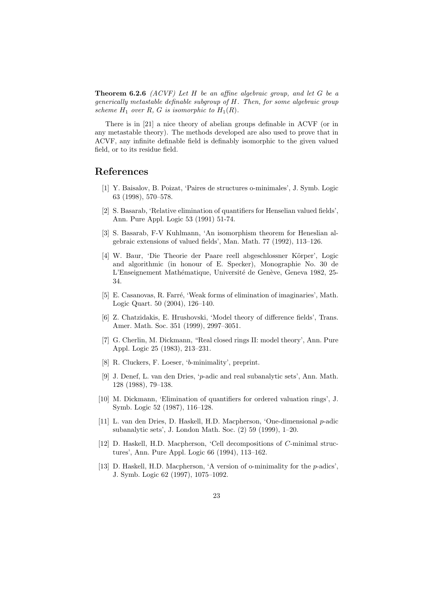**Theorem 6.2.6** (ACVF) Let H be an affine algebraic group, and let G be a generically metastable definable subgroup of H. Then, for some algebraic group scheme  $H_1$  over  $R$ ,  $G$  is isomorphic to  $H_1(R)$ .

There is in [21] a nice theory of abelian groups definable in ACVF (or in any metastable theory). The methods developed are also used to prove that in ACVF, any infinite definable field is definably isomorphic to the given valued field, or to its residue field.

# References

- [1] Y. Baisalov, B. Poizat, 'Paires de structures o-minimales', J. Symb. Logic 63 (1998), 570–578.
- [2] S. Basarab, 'Relative elimination of quantifiers for Henselian valued fields', Ann. Pure Appl. Logic 53 (1991) 51-74.
- [3] S. Basarab, F-V Kuhlmann, 'An isomorphism theorem for Heneslian algebraic extensions of valued fields', Man. Math. 77 (1992), 113–126.
- [4] W. Baur, 'Die Theorie der Paare reell abgeschlossner Körper', Logic and algorithmic (in honour of E. Specker), Monographie No. 30 de L'Enseignement Mathématique, Université de Genève, Geneva 1982, 25-34.
- [5] E. Casanovas, R. Farré, 'Weak forms of elimination of imaginaries', Math. Logic Quart. 50 (2004), 126–140.
- [6] Z. Chatzidakis, E. Hrushovski, 'Model theory of difference fields', Trans. Amer. Math. Soc. 351 (1999), 2997–3051.
- [7] G. Cherlin, M. Dickmann, "Real closed rings II: model theory', Ann. Pure Appl. Logic 25 (1983), 213–231.
- [8] R. Cluckers, F. Loeser, 'b-minimality', preprint.
- [9] J. Denef, L. van den Dries, 'p-adic and real subanalytic sets', Ann. Math. 128 (1988), 79–138.
- [10] M. Dickmann, 'Elimination of quantifiers for ordered valuation rings', J. Symb. Logic 52 (1987), 116–128.
- [11] L. van den Dries, D. Haskell, H.D. Macpherson, 'One-dimensional p-adic subanalytic sets', J. London Math. Soc. (2) 59 (1999), 1–20.
- [12] D. Haskell, H.D. Macpherson, 'Cell decompositions of C-minimal structures', Ann. Pure Appl. Logic 66 (1994), 113–162.
- [13] D. Haskell, H.D. Macpherson, 'A version of o-minimality for the p-adics', J. Symb. Logic 62 (1997), 1075–1092.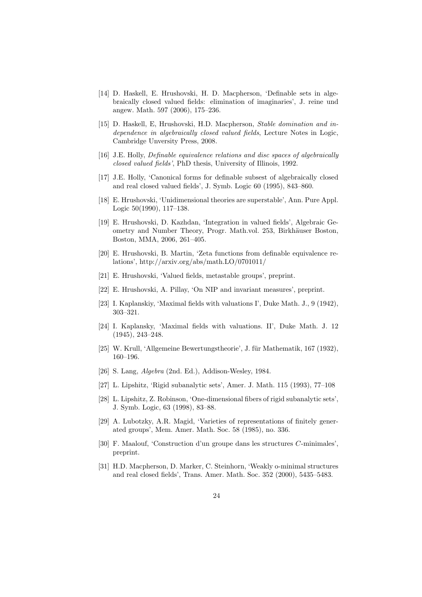- [14] D. Haskell, E. Hrushovski, H. D. Macpherson, 'Definable sets in algebraically closed valued fields: elimination of imaginaries', J. reine und angew. Math. 597 (2006), 175–236.
- [15] D. Haskell, E, Hrushovski, H.D. Macpherson, Stable domination and independence in algebraically closed valued fields, Lecture Notes in Logic, Cambridge Unversity Press, 2008.
- [16] J.E. Holly, Definable equivalence relations and disc spaces of algebraically closed valued fields', PhD thesis, University of Illinois, 1992.
- [17] J.E. Holly, 'Canonical forms for definable subsest of algebraically closed and real closed valued fields', J. Symb. Logic 60 (1995), 843–860.
- [18] E. Hrushovski, 'Unidimensional theories are superstable', Ann. Pure Appl. Logic 50(1990), 117–138.
- [19] E. Hrushovski, D. Kazhdan, 'Integration in valued fields', Algebraic Geometry and Number Theory, Progr. Math.vol. 253, Birkhäuser Boston, Boston, MMA, 2006, 261–405.
- [20] E. Hrushovski, B. Martin, 'Zeta functions from definable equivalence relations', http://arxiv.org/abs/math.LO/0701011/
- [21] E. Hrushovski, 'Valued fields, metastable groups', preprint.
- [22] E. Hrushovski, A. Pillay, 'On NIP and invariant measures', preprint.
- [23] I. Kaplanskiy, 'Maximal fields with valuations I', Duke Math. J., 9 (1942), 303–321.
- [24] I. Kaplansky, 'Maximal fields with valuations. II', Duke Math. J. 12 (1945), 243–248.
- [25] W. Krull, 'Allgemeine Bewertungstheorie', J. für Mathematik, 167 (1932), 160–196.
- [26] S. Lang, Algebra (2nd. Ed.), Addison-Wesley, 1984.
- [27] L. Lipshitz, 'Rigid subanalytic sets', Amer. J. Math. 115 (1993), 77–108
- [28] L. Lipshitz, Z. Robinson, 'One-dimensional fibers of rigid subanalytic sets', J. Symb. Logic, 63 (1998), 83–88.
- [29] A. Lubotzky, A.R. Magid, 'Varieties of representations of finitely generated groups', Mem. Amer. Math. Soc. 58 (1985), no. 336.
- [30] F. Maalouf, 'Construction d'un groupe dans les structures C-minimales', preprint.
- [31] H.D. Macpherson, D. Marker, C. Steinhorn, 'Weakly o-minimal structures and real closed fields', Trans. Amer. Math. Soc. 352 (2000), 5435–5483.